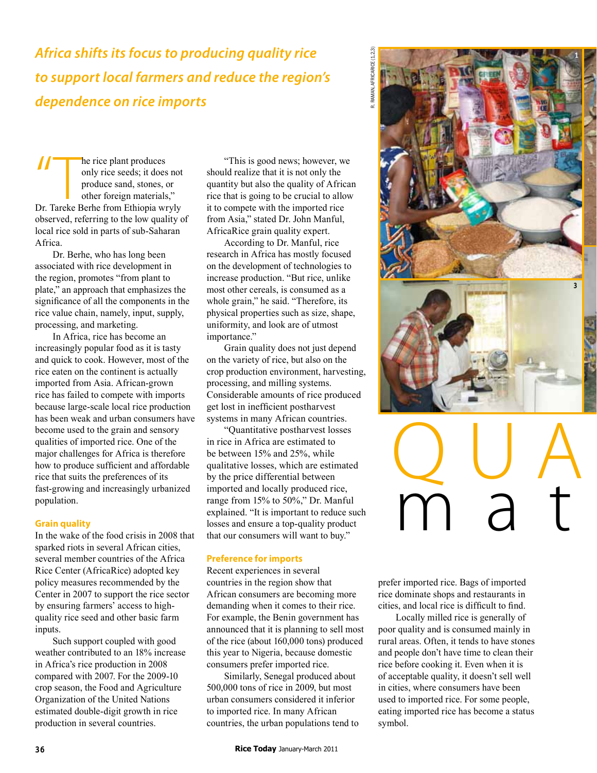*Africa shifts its focus to producing quality rice to support local farmers and reduce the region's dependence on rice imports*

*The rice plant produces*<br>
only rice seeds; it does not<br>
produce sand, stones, or<br>
other foreign materials,"<br>
Dr. Tareke Berhe from Ethiopia wryly only rice seeds; it does not produce sand, stones, or other foreign materials," observed, referring to the low quality of local rice sold in parts of sub-Saharan Africa.

Dr. Berhe, who has long been associated with rice development in the region, promotes "from plant to plate," an approach that emphasizes the significance of all the components in the rice value chain, namely, input, supply, processing, and marketing.

In Africa, rice has become an increasingly popular food as it is tasty and quick to cook. However, most of the rice eaten on the continent is actually imported from Asia. African-grown rice has failed to compete with imports because large-scale local rice production has been weak and urban consumers have become used to the grain and sensory qualities of imported rice. One of the major challenges for Africa is therefore how to produce sufficient and affordable rice that suits the preferences of its fast-growing and increasingly urbanized population.

# **Grain quality**

In the wake of the food crisis in 2008 that sparked riots in several African cities, several member countries of the Africa Rice Center (AfricaRice) adopted key policy measures recommended by the Center in 2007 to support the rice sector by ensuring farmers' access to highquality rice seed and other basic farm inputs.

Such support coupled with good weather contributed to an 18% increase in Africa's rice production in 2008 compared with 2007. For the 2009-10 crop season, the Food and Agriculture Organization of the United Nations estimated double-digit growth in rice production in several countries.

"This is good news; however, we should realize that it is not only the quantity but also the quality of African rice that is going to be crucial to allow it to compete with the imported rice from Asia," stated Dr. John Manful, AfricaRice grain quality expert.

R. Raman, AfricaRice (1,2,3)

RAMAN. AFRICARICE (1.2.3)

According to Dr. Manful, rice research in Africa has mostly focused on the development of technologies to increase production. "But rice, unlike most other cereals, is consumed as a whole grain," he said. "Therefore, its physical properties such as size, shape, uniformity, and look are of utmost importance."

Grain quality does not just depend on the variety of rice, but also on the crop production environment, harvesting, processing, and milling systems. Considerable amounts of rice produced get lost in inefficient postharvest systems in many African countries.

"Quantitative postharvest losses in rice in Africa are estimated to be between 15% and 25%, while qualitative losses, which are estimated by the price differential between imported and locally produced rice, range from 15% to 50%," Dr. Manful explained. "It is important to reduce such losses and ensure a top-quality product that our consumers will want to buy."

# **Preference for imports**

Recent experiences in several countries in the region show that African consumers are becoming more demanding when it comes to their rice. For example, the Benin government has announced that it is planning to sell most of the rice (about 160,000 tons) produced this year to Nigeria, because domestic consumers prefer imported rice.

Similarly, Senegal produced about 500,000 tons of rice in 2009, but most urban consumers considered it inferior to imported rice. In many African countries, the urban populations tend to



# Q U A m a t

prefer imported rice. Bags of imported rice dominate shops and restaurants in cities, and local rice is difficult to find.

Locally milled rice is generally of poor quality and is consumed mainly in rural areas. Often, it tends to have stones and people don't have time to clean their rice before cooking it. Even when it is of acceptable quality, it doesn't sell well in cities, where consumers have been used to imported rice. For some people, eating imported rice has become a status symbol.